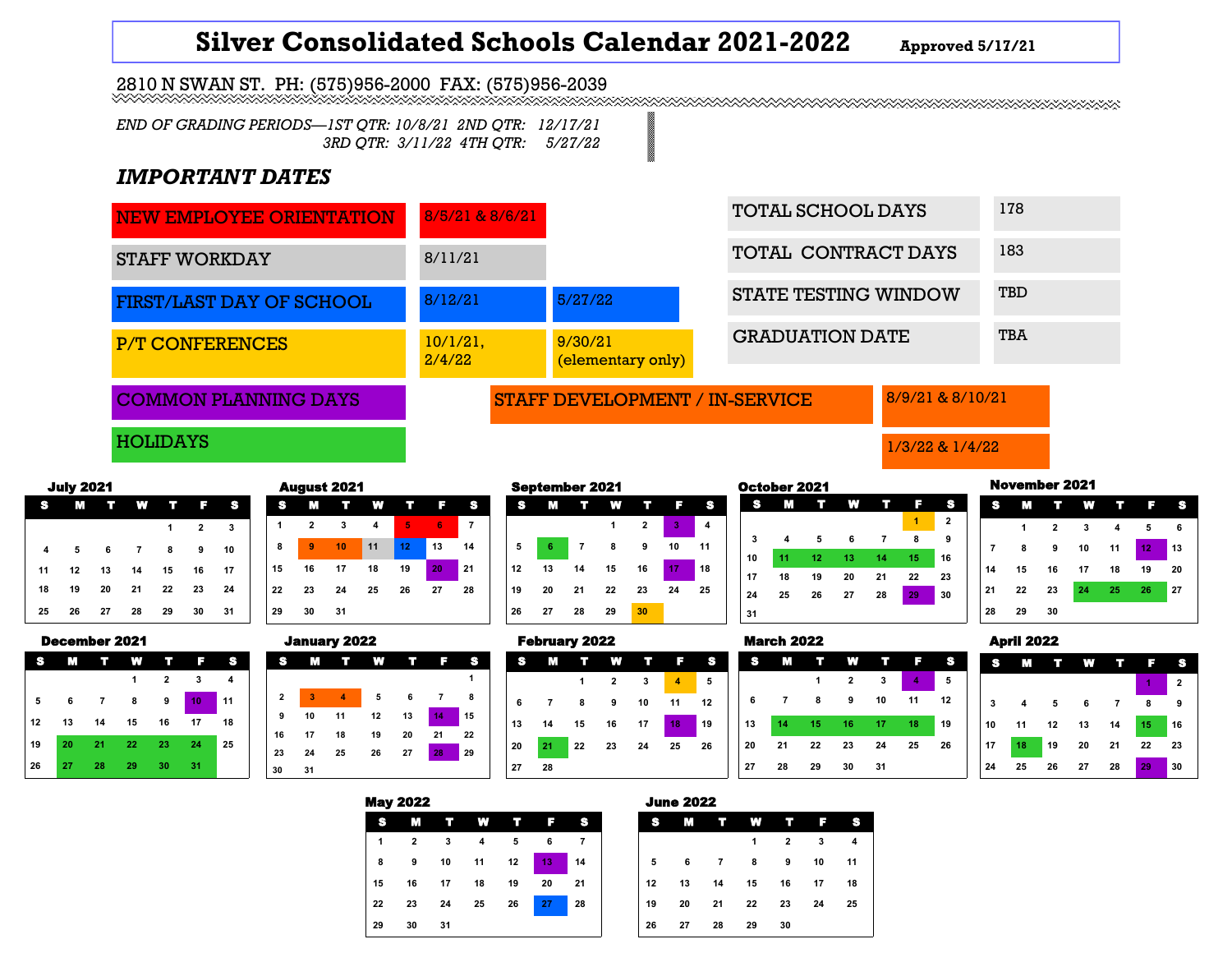### **Silver Consolidated Schools Calendar 2021-2022** *Approved 5/17/21*

2810 N SWAN ST. PH: (575)956-2000 FAX: (575)956-2039

*END OF GRADING PERIODS—1ST QTR: 10/8/21 2ND QTR: 12/17/21 3RD QTR: 3/11/22 4TH QTR: 5/27/22*

#### *IMPORTANT DATES*



|    | <b>July 2021</b> |    |    |     |              |    |
|----|------------------|----|----|-----|--------------|----|
|    | M                | Γī | W  | īτ. | כי           | s  |
|    |                  |    |    | 1   | $\mathbf{2}$ | 3  |
| 4  | 5                | 6  | 7  | 8   | 9            | 10 |
| 11 | 12               | 13 | 14 | 15  | 16           | 17 |
| 18 | 19               | 20 | 21 | 22  | 23           | 24 |
| 25 | 26               | 27 | 28 | 29  | 30           | 31 |

| D  |    | lecember 2021 |    |    |    |    |
|----|----|---------------|----|----|----|----|
| L. |    |               | W  |    |    |    |
|    |    |               | 1  | 2  | 3  |    |
| 5  | 6  |               | 8  | 9  | 10 | 11 |
| 12 | 13 | 14            | 15 | 16 | 17 | 18 |
| 19 | 20 | 21            | 22 | 23 | 24 | 25 |
| 26 | 27 | 28            | 29 | 30 | 31 |    |

|    | August 2021 |    |    |    |    |    |
|----|-------------|----|----|----|----|----|
| G  |             |    | W  |    |    |    |
| 1  | 2           | 3  | 4  | 5  | 6  |    |
| 8  | 9           | 10 | 11 | 12 | 13 | 14 |
| 15 | 16          | 17 | 18 | 19 | 20 | 21 |
| 22 | 23          | 24 | 25 | 26 | 27 | 28 |
| 29 | 30          | 31 |    |    |    |    |

| anuary 202. |  |  |  |
|-------------|--|--|--|
|-------------|--|--|--|



|    | <b>September 2021</b> |    |    |              |    |    |
|----|-----------------------|----|----|--------------|----|----|
| s  | M                     |    | W  |              |    | e  |
|    |                       |    | 1  | $\mathbf{2}$ | 3  | 4  |
| 5  | 6                     |    | 8  | 9            | 10 | 11 |
| 12 | 13                    | 14 | 15 | 16           | 17 | 18 |
| 19 | 20                    | 21 | 22 | 23           | 24 | 25 |
| 26 | 27                    | 28 | 29 | 30           |    |    |

|     |     | December 2021 |     |     |     |          |    |          | <b>January 2022</b> |          |          |                       |                  |    | <b>February 2022</b> |    |    |    |    |    |     |    | <b>March 2022</b> |    |     |     |     |    | <b>April 2022</b> |              |
|-----|-----|---------------|-----|-----|-----|----------|----|----------|---------------------|----------|----------|-----------------------|------------------|----|----------------------|----|----|----|----|----|-----|----|-------------------|----|-----|-----|-----|----|-------------------|--------------|
| M   |     |               |     | T.  | s   |          | C. |          |                     |          |          | E                     | 8                |    |                      |    |    |    |    | 83 |     |    |                   |    |     |     | 8   |    | IJ.               |              |
|     |     |               |     |     |     |          |    |          |                     |          |          |                       |                  |    |                      |    |    |    |    |    |     |    |                   |    |     |     | - 5 |    |                   |              |
|     |     |               | 9   | 10. | -11 |          |    |          |                     |          |          |                       |                  | 6  |                      |    |    |    | 11 | 12 |     |    |                   |    | 10  | 11  | 12  |    |                   |              |
| 13  | 14  | 15            | 16  | 17  | 18  |          |    |          | 11                  | 12       | 13       | 14                    | 15               | 13 | 14                   | 15 | 16 | 17 | 18 | 19 | 13  |    |                   | 16 | 17  | 18. | 19  | 10 | 11                | 12           |
| 20  |     | 22.           | 23  | 24  | 25  | 16<br>23 |    | 17<br>24 | 18<br>25            | 19<br>26 | 20<br>27 | 21<br>28 <sub>1</sub> | 22<br>$\vert$ 29 | 20 | 21                   | 22 | 23 | 24 | 25 | 26 | 20  | 21 | 22                | 23 | 24  | 25  | 26  | 17 |                   | $ 19\rangle$ |
| -27 | 28. | 29            | 30. | 31  |     | 30       |    | 31       |                     |          |          |                       |                  | 27 | 28                   |    |    |    |    |    | -27 | 28 | 29                | 30 | -31 |     |     | 24 | 25                | 26           |

| <b>July 2021</b> |    |    |    |    |    |    | <b>August 2021</b> |                 |    |    |          |          |    | <b>September 2021</b> |    |    |                 |    |    |    | October 2021 |    |    |    |    |              |    |    | <b>November 2021</b> |     |
|------------------|----|----|----|----|----|----|--------------------|-----------------|----|----|----------|----------|----|-----------------------|----|----|-----------------|----|----|----|--------------|----|----|----|----|--------------|----|----|----------------------|-----|
| M                |    | W  |    |    | s  |    |                    |                 | W  | Ŧ  | <b>F</b> | <b>S</b> | S  |                       |    | W  | Ŧ               |    | s  |    |              |    | W  |    |    | S            |    |    |                      | W   |
|                  |    |    |    |    |    |    |                    |                 |    |    |          |          |    |                       |    |    |                 |    | -4 |    |              |    |    |    |    | $\mathbf{2}$ |    |    |                      |     |
|                  |    |    |    |    |    | 8  |                    | 10 <sup>1</sup> | 11 |    | 13       | 14       |    |                       |    |    |                 | 10 | 11 | 3  |              |    |    |    |    |              |    |    |                      | 10  |
|                  |    |    |    |    | 10 |    |                    |                 |    |    |          |          |    |                       |    |    |                 |    |    | 10 |              | 12 | 13 | 14 | 15 | 16           |    |    |                      |     |
| 12               | 13 | 14 | 15 | 16 | 17 | 15 | 16                 | 17              | 18 | 19 | 20       | 21       | 12 | 13                    | 14 | 15 | 16              | 17 | 18 | 17 | 18           | 19 | 20 | 21 | 22 | 23           | 14 | 15 | 16                   | 17  |
| 19               | 20 | 21 | 22 | 23 | 24 | 22 | 23                 | 24              | 25 | 26 | 27       | 28       | 19 | 20                    | 21 | 22 | 23              | 24 | 25 | 24 | 25           | 26 | 27 | 28 | 29 | 30           | 21 | 22 | 23                   | -24 |
| 26               | 27 | 28 | 29 | 30 | 31 | 29 | 30                 | 31              |    |    |          |          | 26 | 27                    | 28 | 29 | 30 <sup>°</sup> |    |    | 31 |              |    |    |    |    |              | 28 | 29 | 30                   |     |
|                  |    |    |    |    |    |    |                    |                 |    |    |          |          |    |                       |    |    |                 |    |    |    |              |    |    |    |    |              |    |    |                      |     |

# S M T W T F

|  | $\overline{\mathbf{2}}$                                                                                 | $3 \quad 4$ |  |  |
|--|---------------------------------------------------------------------------------------------------------|-------------|--|--|
|  | 7 8 9 10 11 <mark>12</mark> 13<br>14 15 16 17 18 19 20<br>21 22 23 <mark>24 25 26</mark> 27<br>28 29 30 |             |  |  |
|  |                                                                                                         |             |  |  |
|  |                                                                                                         |             |  |  |
|  |                                                                                                         |             |  |  |

|    | Awii łułł |    |    |    |    |                |
|----|-----------|----|----|----|----|----------------|
| c  |           |    |    |    |    |                |
|    |           |    |    |    |    | $\overline{2}$ |
| 3  | 4         | 5  | 6  |    | 8  | 9              |
| 10 | 11        | 12 | 13 | 14 | 15 | 16             |
| 17 | 18        | 19 | 20 | 21 | 22 | 23             |
| 24 | 25        | 26 | 27 | 28 | 29 | 30             |

| May 2022 |  | <b>June 2022</b> |
|----------|--|------------------|
|----------|--|------------------|

|    |                |    |    |    | E  | e  |
|----|----------------|----|----|----|----|----|
| 1  | $\overline{2}$ | 3  | 4  | 5  | 6  |    |
| 8  | 9              | 10 | 11 | 12 | 13 | 14 |
| 15 | 16             | 17 | 18 | 19 | 20 | 21 |
| 22 | 23             | 24 | 25 | 26 | 27 | 28 |
| 29 | 30             | 31 |    |    |    |    |

| .  | IIT ZUÆÆ               |    |     |                         |                         |    |
|----|------------------------|----|-----|-------------------------|-------------------------|----|
|    | M.                     |    |     |                         |                         |    |
|    |                        |    | 1   | $\overline{\mathbf{2}}$ | $\overline{\mathbf{3}}$ |    |
|    | 56                     |    | 7 8 | $9$ 10                  |                         | 11 |
|    | 12  13  14  15  16  17 |    |     |                         |                         | 18 |
| 19 | 20  21  22  23         |    |     |                         | 24                      | 25 |
| 26 | 27                     | 28 | 29  | 30                      |                         |    |